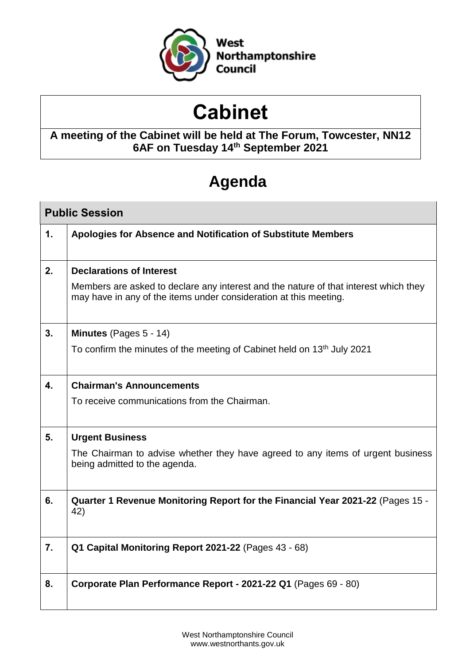

# **Cabinet**

# **A meeting of the Cabinet will be held at The Forum, Towcester, NN12 6AF on Tuesday 14th September 2021**

# **Agenda**

| <b>Public Session</b> |                                                                                                                                                           |  |  |
|-----------------------|-----------------------------------------------------------------------------------------------------------------------------------------------------------|--|--|
| $\mathbf 1$ .         | Apologies for Absence and Notification of Substitute Members                                                                                              |  |  |
| 2.                    | <b>Declarations of Interest</b>                                                                                                                           |  |  |
|                       | Members are asked to declare any interest and the nature of that interest which they<br>may have in any of the items under consideration at this meeting. |  |  |
| 3 <sub>1</sub>        | Minutes (Pages 5 - 14)                                                                                                                                    |  |  |
|                       | To confirm the minutes of the meeting of Cabinet held on 13 <sup>th</sup> July 2021                                                                       |  |  |
| 4.                    | <b>Chairman's Announcements</b>                                                                                                                           |  |  |
|                       | To receive communications from the Chairman.                                                                                                              |  |  |
| 5.                    | <b>Urgent Business</b>                                                                                                                                    |  |  |
|                       | The Chairman to advise whether they have agreed to any items of urgent business<br>being admitted to the agenda.                                          |  |  |
| 6.                    | Quarter 1 Revenue Monitoring Report for the Financial Year 2021-22 (Pages 15 -<br>42)                                                                     |  |  |
| 7.                    | Q1 Capital Monitoring Report 2021-22 (Pages 43 - 68)                                                                                                      |  |  |
| 8.                    | Corporate Plan Performance Report - 2021-22 Q1 (Pages 69 - 80)                                                                                            |  |  |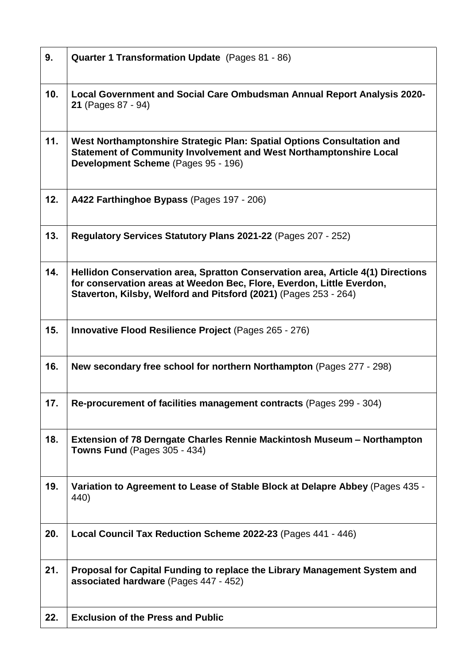| 9.  | Quarter 1 Transformation Update (Pages 81 - 86)                                                                                                                                                                              |  |
|-----|------------------------------------------------------------------------------------------------------------------------------------------------------------------------------------------------------------------------------|--|
| 10. | Local Government and Social Care Ombudsman Annual Report Analysis 2020-<br>21 (Pages 87 - 94)                                                                                                                                |  |
| 11. | West Northamptonshire Strategic Plan: Spatial Options Consultation and<br>Statement of Community Involvement and West Northamptonshire Local<br>Development Scheme (Pages 95 - 196)                                          |  |
| 12. | A422 Farthinghoe Bypass (Pages 197 - 206)                                                                                                                                                                                    |  |
| 13. | Regulatory Services Statutory Plans 2021-22 (Pages 207 - 252)                                                                                                                                                                |  |
| 14. | Hellidon Conservation area, Spratton Conservation area, Article 4(1) Directions<br>for conservation areas at Weedon Bec, Flore, Everdon, Little Everdon,<br>Staverton, Kilsby, Welford and Pitsford (2021) (Pages 253 - 264) |  |
| 15. | <b>Innovative Flood Resilience Project (Pages 265 - 276)</b>                                                                                                                                                                 |  |
| 16. | New secondary free school for northern Northampton (Pages 277 - 298)                                                                                                                                                         |  |
| 17. | Re-procurement of facilities management contracts (Pages 299 - 304)                                                                                                                                                          |  |
| 18. | Extension of 78 Derngate Charles Rennie Mackintosh Museum - Northampton<br><b>Towns Fund (Pages 305 - 434)</b>                                                                                                               |  |
| 19. | Variation to Agreement to Lease of Stable Block at Delapre Abbey (Pages 435 -<br>440)                                                                                                                                        |  |
| 20. | Local Council Tax Reduction Scheme 2022-23 (Pages 441 - 446)                                                                                                                                                                 |  |
| 21. | Proposal for Capital Funding to replace the Library Management System and<br>associated hardware (Pages 447 - 452)                                                                                                           |  |
| 22. | <b>Exclusion of the Press and Public</b>                                                                                                                                                                                     |  |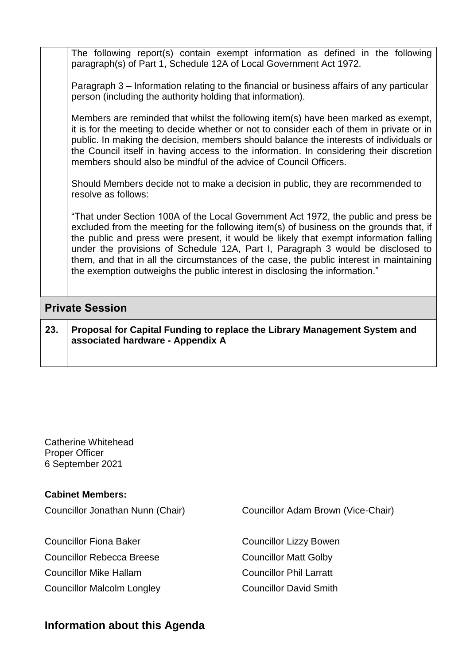The following report(s) contain exempt information as defined in the following paragraph(s) of Part 1, Schedule 12A of Local Government Act 1972.

Paragraph 3 – Information relating to the financial or business affairs of any particular person (including the authority holding that information).

Members are reminded that whilst the following item(s) have been marked as exempt, it is for the meeting to decide whether or not to consider each of them in private or in public. In making the decision, members should balance the interests of individuals or the Council itself in having access to the information. In considering their discretion members should also be mindful of the advice of Council Officers.

Should Members decide not to make a decision in public, they are recommended to resolve as follows:

"That under Section 100A of the Local Government Act 1972, the public and press be excluded from the meeting for the following item(s) of business on the grounds that, if the public and press were present, it would be likely that exempt information falling under the provisions of Schedule 12A, Part I, Paragraph 3 would be disclosed to them, and that in all the circumstances of the case, the public interest in maintaining the exemption outweighs the public interest in disclosing the information."

### **Private Session**

**23. Proposal for Capital Funding to replace the Library Management System and associated hardware - Appendix A**

Catherine Whitehead Proper Officer 6 September 2021

| <b>Cabinet Members:</b>           |                                    |  |  |
|-----------------------------------|------------------------------------|--|--|
| Councillor Jonathan Nunn (Chair)  | Councillor Adam Brown (Vice-Chair) |  |  |
|                                   |                                    |  |  |
| <b>Councillor Fiona Baker</b>     | <b>Councillor Lizzy Bowen</b>      |  |  |
| <b>Councillor Rebecca Breese</b>  | <b>Councillor Matt Golby</b>       |  |  |
| Councillor Mike Hallam            | <b>Councillor Phil Larratt</b>     |  |  |
| <b>Councillor Malcolm Longley</b> | <b>Councillor David Smith</b>      |  |  |
|                                   |                                    |  |  |

## **Information about this Agenda**